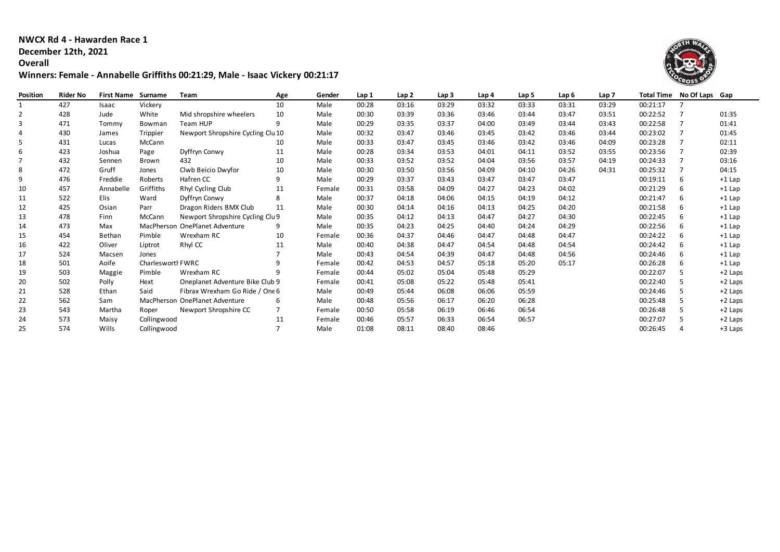**NWCX Rd 4 - Hawarden Race 1**

## **December 12th, 2021**

**Overall**

## **Winners: Female - Annabelle Griffiths 00:21:29, Male - Isaac Vickery 00:21:17**



| Position | <b>Rider No</b> | <b>First Name</b> | Surname           | <b>Team</b>                       | Age | Gender | Lap 1 | Lap <sub>2</sub> | Lap <sub>3</sub> | Lap 4 | Lap 5 | Lap 6 | Lap 7 |          | Total Time No Of Laps Gap |           |
|----------|-----------------|-------------------|-------------------|-----------------------------------|-----|--------|-------|------------------|------------------|-------|-------|-------|-------|----------|---------------------------|-----------|
|          | 427             | Isaac             | Vickery           |                                   | 10  | Male   | 00:28 | 03:16            | 03:29            | 03:32 | 03:33 | 03:31 | 03:29 | 00:21:17 |                           |           |
|          | 428             | Jude              | White             | Mid shropshire wheelers           | 10  | Male   | 00:30 | 03:39            | 03:36            | 03:46 | 03:44 | 03:47 | 03:51 | 00:22:52 |                           | 01:35     |
| 3        | 471             | Tommy             | Bowman            | Team HUP                          | 9   | Male   | 00:29 | 03:35            | 03:37            | 04:00 | 03:49 | 03:44 | 03:43 | 00:22:58 |                           | 01:41     |
|          | 430             | James             | Trippier          | Newport Shropshire Cycling Clu 10 |     | Male   | 00:32 | 03:47            | 03:46            | 03:45 | 03:42 | 03:46 | 03:44 | 00:23:02 |                           | 01:45     |
|          | 431             | Lucas             | McCann            |                                   | 10  | Male   | 00:33 | 03:47            | 03:45            | 03:46 | 03:42 | 03:46 | 04:09 | 00:23:28 |                           | 02:11     |
|          | 423             | Joshua            | Page              | Dyffryn Conwy                     | 11  | Male   | 00:28 | 03:34            | 03:53            | 04:01 | 04:11 | 03:52 | 03:55 | 00:23:56 |                           | 02:39     |
|          | 432             | Sennen            | Brown             | 432                               | 10  | Male   | 00:33 | 03:52            | 03:52            | 04:04 | 03:56 | 03:57 | 04:19 | 00:24:33 |                           | 03:16     |
|          | 472             | Gruff             | Jones             | Clwb Beicio Dwyfor                | 10  | Male   | 00:30 | 03:50            | 03:56            | 04:09 | 04:10 | 04:26 | 04:31 | 00:25:32 |                           | 04:15     |
|          | 476             | Freddie           | Roberts           | Hafren CC                         | 9   | Male   | 00:29 | 03:37            | 03:43            | 03:47 | 03:47 | 03:47 |       | 00:19:11 | 6                         | $+1$ Lap  |
| 10       | 457             | Annabelle         | Griffiths         | Rhyl Cycling Club                 | 11  | Female | 00:31 | 03:58            | 04:09            | 04:27 | 04:23 | 04:02 |       | 00:21:29 | 6                         | $+1$ Lap  |
| 11       | 522             | Elis              | Ward              | Dyffryn Conwy                     | 8   | Male   | 00:37 | 04:18            | 04:06            | 04:15 | 04:19 | 04:12 |       | 00:21:47 | 6                         | $+1$ Lap  |
| 12       | 425             | Osian             | Parr              | Dragon Riders BMX Club            | 11  | Male   | 00:30 | 04:14            | 04:16            | 04:13 | 04:25 | 04:20 |       | 00:21:58 | 6                         | $+1$ Lap  |
| 13       | 478             | Finn              | McCann            | Newport Shropshire Cycling Clu 9  |     | Male   | 00:35 | 04:12            | 04:13            | 04:47 | 04:27 | 04:30 |       | 00:22:45 | 6                         | $+1$ Lap  |
| 14       | 473             | Max               |                   | MacPherson OnePlanet Adventure    | 9   | Male   | 00:35 | 04:23            | 04:25            | 04:40 | 04:24 | 04:29 |       | 00:22:56 | 6                         | $+1$ Lap  |
| 15       | 454             | Bethan            | Pimble            | Wrexham RC                        | 10  | Female | 00:36 | 04:37            | 04:46            | 04:47 | 04:48 | 04:47 |       | 00:24:22 | 6                         | $+1$ Lap  |
| 16       | 422             | Oliver            | Liptrot           | Rhyl CC                           | 11  | Male   | 00:40 | 04:38            | 04:47            | 04:54 | 04:48 | 04:54 |       | 00:24:42 | 6                         | $+1$ Lap  |
| 17       | 524             | Macsen            | Jones             |                                   |     | Male   | 00:43 | 04:54            | 04:39            | 04:47 | 04:48 | 04:56 |       | 00:24:46 | 6                         | $+1$ Lap  |
| 18       | 501             | Aoife             | Charlesworth FWRC |                                   |     | Female | 00:42 | 04:53            | 04:57            | 05:18 | 05:20 | 05:17 |       | 00:26:28 | 6                         | $+1$ Lap  |
| 19       | 503             | Maggie            | Pimble            | Wrexham RC                        | 9   | Female | 00:44 | 05:02            | 05:04            | 05:48 | 05:29 |       |       | 00:22:07 |                           | $+2$ Laps |
| 20       | 502             | Polly             | Hext              | Oneplanet Adventure Bike Club 9   |     | Female | 00:41 | 05:08            | 05:22            | 05:48 | 05:41 |       |       | 00:22:40 |                           | $+2$ Laps |
| 21       | 528             | Ethan             | Said              | Fibrax Wrexham Go Ride / One 6    |     | Male   | 00:49 | 05:44            | 06:08            | 06:06 | 05:59 |       |       | 00:24:46 |                           | $+2$ Laps |
| 22       | 562             | Sam               | MacPherson        | OnePlanet Adventure               | 6   | Male   | 00:48 | 05:56            | 06:17            | 06:20 | 06:28 |       |       | 00:25:48 | 5                         | $+2$ Laps |
| 23       | 543             | Martha            | Roper             | Newport Shropshire CC             |     | Female | 00:50 | 05:58            | 06:19            | 06:46 | 06:54 |       |       | 00:26:48 | 5                         | $+2$ Laps |
| 24       | 573             | Maisy             | Collingwood       |                                   | 11  | Female | 00:46 | 05:57            | 06:33            | 06:54 | 06:57 |       |       | 00:27:07 |                           | $+2$ Laps |
| 25       | 574             | Wills             | Collingwood       |                                   |     | Male   | 01:08 | 08:11            | 08:40            | 08:46 |       |       |       | 00:26:45 |                           | +3 Laps   |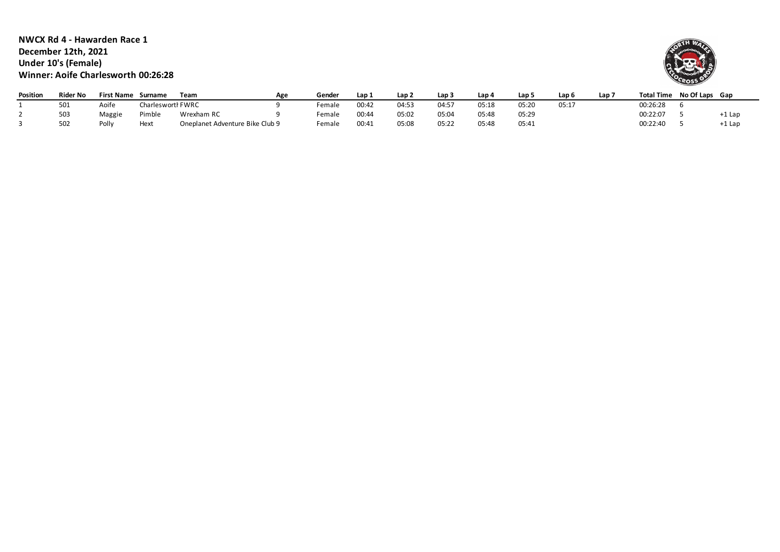**NWCX Rd 4 - Hawarden Race 1 December 12th, 2021 Under 10's (Female) Winner: Aoife Charlesworth 00:26:28**



| Position | <b>Rider No</b> | <b>First Name</b> | Surname           | Team                            | Age | Gender | Lap 1 | Lap 2 | Lap <sub>3</sub> | Lap 4 | Lap 5 | Lap  | Lap <sup>–</sup> | <b>Total Time</b> | No Of Laps Gap |          |
|----------|-----------------|-------------------|-------------------|---------------------------------|-----|--------|-------|-------|------------------|-------|-------|------|------------------|-------------------|----------------|----------|
|          | 501             | Aoife             | Charlesworth FWRC |                                 |     | emale  | 00:42 | 04:53 | 04:57            | 05:18 | 05:20 | 05:1 |                  | 00:26:28          |                |          |
|          | 503             | Maggie            | Pimble            | Wrexham RC                      |     | Female | 00:44 | 05:02 | 05:04            | 05:48 | 05:29 |      |                  | 00:22:07          |                | +1 Lap   |
|          | 502             | Polly             | Hext              | Oneplanet Adventure Bike Club 9 |     | emale  | 00:41 | 05:08 | 05:27            | 05:48 | 05:41 |      |                  | 00:22:40          |                | $+1$ Lap |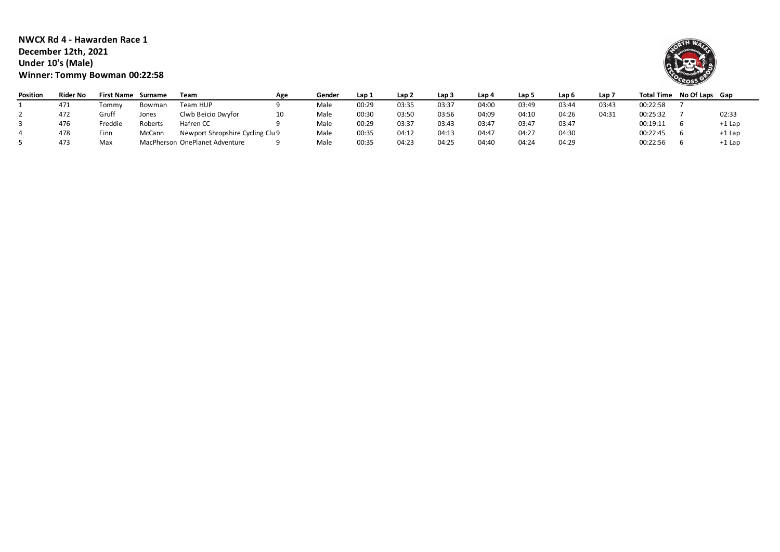**NWCX Rd 4 - Hawarden Race 1 December 12th, 2021 Under 10's (Male) Winner: Tommy Bowman 00:22:58**



| Position | Rider No | First Name | Surname | Team                             | Age | Gender | Lap 1 | Lap 2 | Lap 3 | Lap 4 | Lap 5 | Lap 6 | Lap 7 |          | Total Time No Of Laps Gap |          |
|----------|----------|------------|---------|----------------------------------|-----|--------|-------|-------|-------|-------|-------|-------|-------|----------|---------------------------|----------|
|          | 471      | Tommv      | Bowman  | Team HUP                         |     | Male   | 00:29 | 03:35 | 03:37 | 04:00 | 03:49 | 03:44 | 03:43 | 00:22:58 |                           |          |
|          | 472      | Gruff      | Jones   | Clwb Beicio Dwyfor               | 10  | Male   | 00:30 | 03:50 | 03:56 | 04:09 | 04:10 | 04:26 | 04:31 | 00:25:32 |                           | 02:33    |
|          | 476      | Freddie    | Roberts | Hafren CC                        |     | Male   | 00:29 | 03:37 | 03:43 | 03:47 | 03:47 | 03:47 |       | 00:19:11 |                           | $+1$ Lap |
|          | 478      | Finn       | McCann  | Newport Shropshire Cycling Clu 9 |     | Male   | 00:35 | 04:12 | 04:13 | 04:47 | 04:27 | 04:30 |       | 00:22:45 |                           | $+1$ Lap |
|          | 473      | Max        |         | MacPherson OnePlanet Adventure   |     | Male   | 00:35 | 04:23 | 04:25 | 04:40 | 04:24 | 04:29 |       | 00:22:56 |                           | $+1$ Lap |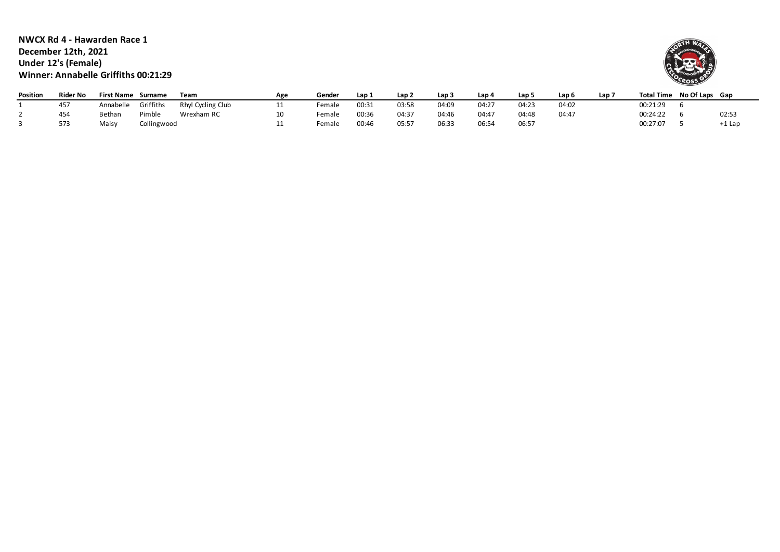**NWCX Rd 4 - Hawarden Race 1 December 12th, 2021 Under 12's (Female) Winner: Annabelle Griffiths 00:21:29**



| Position | <b>Rider No</b> | <b>First Name</b> | Surname     | Team              | Age | Gender | Lap 1 | Lap 2 | Lap 3 | Lap 4 | Lap 5 | Lap 6 | Lap 7 |          | Total Time No Of Laps Gap |          |
|----------|-----------------|-------------------|-------------|-------------------|-----|--------|-------|-------|-------|-------|-------|-------|-------|----------|---------------------------|----------|
|          | 457             | Annabelle         | Griffiths   | Rhyl Cycling Club |     | emale  | 00:31 | 03:58 | 04:09 | 04:2  | 04:23 | 04:02 |       | 00:21:29 |                           |          |
|          | 454             | Bethan            | Pimble      | Wrexham RC        |     | ∶emale | 00:36 | 04:37 | 04:46 | 04:47 | J4:48 | 04:47 |       | 00:24:22 |                           | 02:53    |
|          | 573             | Maisy             | Collingwood |                   |     | emale  | 00:46 | 05:57 | 06:33 | 06:54 | 06:57 |       |       | 00:27:07 |                           | $+1$ Lap |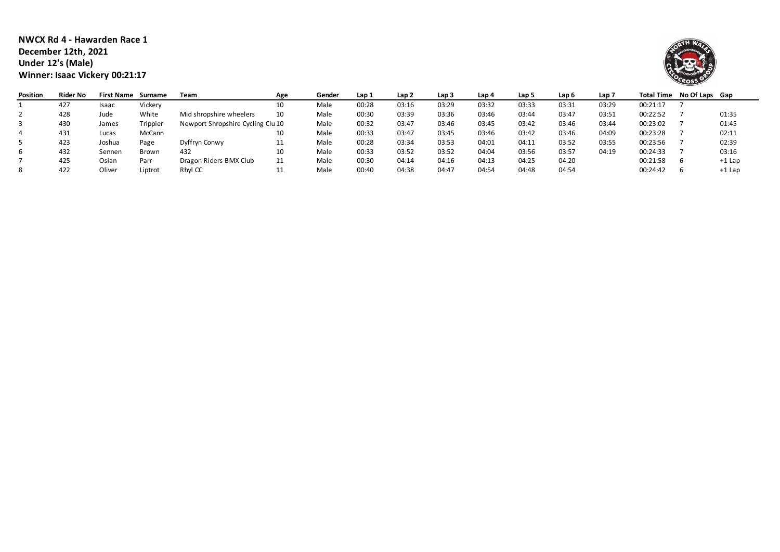| NWCX Rd 4 - Hawarden Race 1    |
|--------------------------------|
| December 12th. 2021            |
| Under 12's (Male)              |
| Winner: Isaac Vickery 00:21:17 |



| Position | <b>Rider No</b> | <b>First Name</b> | Surname  | Team                              | Age | Gender | Lap 1 | Lap 2 | Lap <sub>3</sub> | Lap 4 | Lap 5 | Lap 6 | Lap <sub>7</sub> |          | Total Time No Of Laps Gap |          |
|----------|-----------------|-------------------|----------|-----------------------------------|-----|--------|-------|-------|------------------|-------|-------|-------|------------------|----------|---------------------------|----------|
|          | 427             | Isaac             | Vickery  |                                   | 10  | Male   | 00:28 | 03:16 | 03:29            | 03:32 | 03:33 | 03:31 | 03:29            | 00:21:17 |                           |          |
|          | 428             | Jude              | White    | Mid shropshire wheelers           |     | Male   | 00:30 | 03:39 | 03:36            | 03:46 | 03:44 | 03:47 | 03:51            | 00:22:52 |                           | 01:35    |
|          | 430             | James             | Trippier | Newport Shropshire Cycling Clu 10 |     | Male   | 00:32 | 03:47 | 03:46            | 03:45 | 03:42 | 03:46 | 03:44            | 00:23:02 |                           | 01:45    |
|          | 431             | Lucas             | McCann   |                                   | 10  | Male   | 00:33 | 03:47 | 03:45            | 03:46 | 03:42 | 03:46 | 04:09            | 00:23:28 |                           | 02:11    |
|          | 423             | Joshua            | Page     | Dyffryn Conwy                     | ᆠᆂ  | Male   | 00:28 | 03:34 | 03:53            | 04:01 | 04:11 | 03:52 | 03:55            | 00:23:56 |                           | 02:39    |
|          | 432             | Sennen            | Brown    | 432                               |     | Male   | 00:33 | 03:52 | 03:52            | 04:04 | 03:56 | 03:57 | 04:19            | 00:24:33 |                           | 03:16    |
|          | 425             | Osian             | Parr     | Dragon Riders BMX Club            |     | Male   | 00:30 | 04:14 | 04:16            | 04:13 | 04:25 | 04:20 |                  | 00:21:58 |                           | $+1$ Lap |
|          | 422             | Oliver            | Liptrot  | Rhyl CC                           |     | Male   | 00:40 | 04:38 | 04:47            | 04:54 | 04:48 | 04:54 |                  | 00:24:42 |                           | $+1$ Lap |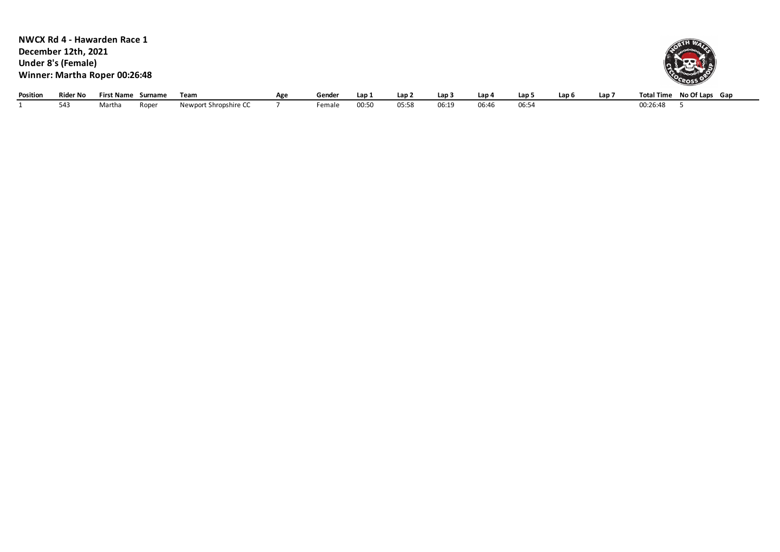|          |                     | NWCX Rd 4 - Hawarden Race 1   |       |                       |     |        |       |                  |       |       |       |                  |                  |                           |
|----------|---------------------|-------------------------------|-------|-----------------------|-----|--------|-------|------------------|-------|-------|-------|------------------|------------------|---------------------------|
|          | December 12th, 2021 |                               |       |                       |     |        |       |                  |       |       |       |                  |                  |                           |
|          | Under 8's (Female)  |                               |       |                       |     |        |       |                  |       |       |       |                  |                  |                           |
|          |                     | Winner: Martha Roper 00:26:48 |       |                       |     |        |       |                  |       |       |       |                  |                  | <b>OCROSS OF</b>          |
|          |                     |                               |       |                       |     |        |       |                  |       |       |       |                  |                  |                           |
| Position | <b>Rider No</b>     | <b>First Name Surname</b>     |       | Team                  | Age | Gender | Lap 1 | Lap <sub>2</sub> | Lap 3 | Lap 4 | Lap 5 | Lap <sub>6</sub> | Lap <sub>7</sub> | Total Time No Of Laps Gap |
|          | 543                 | Martha                        | Roper | Newport Shropshire CC |     | Female | 00:50 | 05:58            | 06:19 | 06:46 | 06:54 |                  |                  | 00:26:48                  |